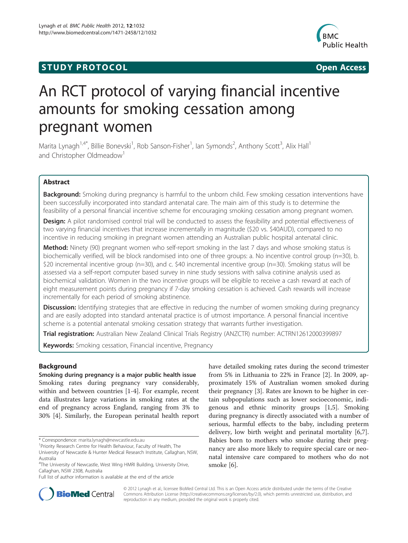## **STUDY PROTOCOL CONSUMING THE RESERVE ACCESS**



# An RCT protocol of varying financial incentive amounts for smoking cessation among pregnant women

Marita Lynagh<sup>1,4\*</sup>, Billie Bonevski<sup>1</sup>, Rob Sanson-Fisher<sup>1</sup>, Ian Symonds<sup>2</sup>, Anthony Scott<sup>3</sup>, Alix Hall<sup>1</sup> and Christopher Oldmeadow<sup>1</sup>

## Abstract

**Background:** Smoking during pregnancy is harmful to the unborn child. Few smoking cessation interventions have been successfully incorporated into standard antenatal care. The main aim of this study is to determine the feasibility of a personal financial incentive scheme for encouraging smoking cessation among pregnant women.

Design: A pilot randomised control trial will be conducted to assess the feasibility and potential effectiveness of two varying financial incentives that increase incrementally in magnitude (\$20 vs. \$40AUD), compared to no incentive in reducing smoking in pregnant women attending an Australian public hospital antenatal clinic.

**Method:** Ninety (90) pregnant women who self-report smoking in the last 7 days and whose smoking status is biochemically verified, will be block randomised into one of three groups: a. No incentive control group (n=30), b. \$20 incremental incentive group (n=30), and c. \$40 incremental incentive group (n=30). Smoking status will be assessed via a self-report computer based survey in nine study sessions with saliva cotinine analysis used as biochemical validation. Women in the two incentive groups will be eligible to receive a cash reward at each of eight measurement points during pregnancy if 7-day smoking cessation is achieved. Cash rewards will increase incrementally for each period of smoking abstinence.

**Discussion:** Identifying strategies that are effective in reducing the number of women smoking during pregnancy and are easily adopted into standard antenatal practice is of utmost importance. A personal financial incentive scheme is a potential antenatal smoking cessation strategy that warrants further investigation.

Trial registration: Australian New Zealand Clinical Trials Registry (ANZCTR) number: ACTRN12612000399897

Keywords: Smoking cessation, Financial incentive, Pregnancy

## Background

Smoking during pregnancy is a major public health issue Smoking rates during pregnancy vary considerably, within and between countries [\[1-4](#page-6-0)]. For example, recent data illustrates large variations in smoking rates at the end of pregnancy across England, ranging from 3% to 30% [\[4](#page-6-0)]. Similarly, the European perinatal health report have detailed smoking rates during the second trimester from 5% in Lithuania to 22% in France [\[2](#page-6-0)]. In 2009, approximately 15% of Australian women smoked during their pregnancy [[3\]](#page-6-0). Rates are known to be higher in certain subpopulations such as lower socioeconomic, indigenous and ethnic minority groups [[1,5\]](#page-6-0). Smoking during pregnancy is directly associated with a number of serious, harmful effects to the baby, including preterm delivery, low birth weight and perinatal mortality [\[6](#page-6-0)[,7](#page-7-0)]. Babies born to mothers who smoke during their pregnancy are also more likely to require special care or neonatal intensive care compared to mothers who do not smoke [\[6](#page-6-0)].



© 2012 Lynagh et al.; licensee BioMed Central Ltd. This is an Open Access article distributed under the terms of the Creative Commons Attribution License [\(http://creativecommons.org/licenses/by/2.0\)](http://creativecommons.org/licenses/by/2.0), which permits unrestricted use, distribution, and reproduction in any medium, provided the original work is properly cited.

<sup>\*</sup> Correspondence: [marita.lynagh@newcastle.edu.au](mailto:marita.lynagh@newcastle.edu.au) <sup>1</sup>

<sup>&</sup>lt;sup>1</sup> Priority Research Centre for Health Behaviour, Faculty of Health, The

University of Newcastle & Hunter Medical Research Institute, Callaghan, NSW, Australia

<sup>&</sup>lt;sup>4</sup>The University of Newcastle, West Wing HMRI Building, University Drive, Callaghan, NSW 2308, Australia

Full list of author information is available at the end of the article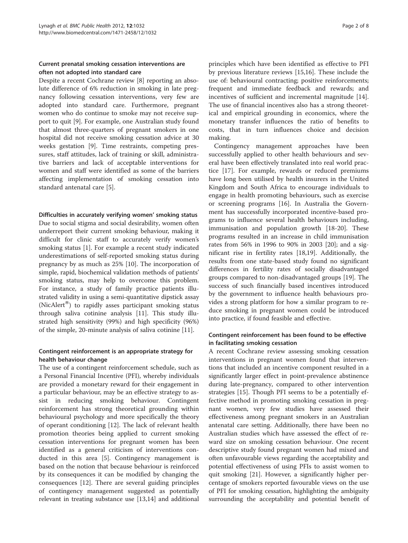## Current prenatal smoking cessation interventions are often not adopted into standard care

Despite a recent Cochrane review [[8\]](#page-7-0) reporting an absolute difference of 6% reduction in smoking in late pregnancy following cessation interventions, very few are adopted into standard care. Furthermore, pregnant women who do continue to smoke may not receive support to quit [\[9](#page-7-0)]. For example, one Australian study found that almost three-quarters of pregnant smokers in one hospital did not receive smoking cessation advice at 30 weeks gestation [\[9\]](#page-7-0). Time restraints, competing pressures, staff attitudes, lack of training or skill, administrative barriers and lack of acceptable interventions for women and staff were identified as some of the barriers affecting implementation of smoking cessation into standard antenatal care [\[5](#page-6-0)].

## Difficulties in accurately verifying women' smoking status

Due to social stigma and social desirability, women often underreport their current smoking behaviour, making it difficult for clinic staff to accurately verify women's smoking status [\[1](#page-6-0)]. For example a recent study indicated underestimations of self-reported smoking status during pregnancy by as much as 25% [\[10](#page-7-0)]. The incorporation of simple, rapid, biochemical validation methods of patients' smoking status, may help to overcome this problem. For instance, a study of family practice patients illustrated validity in using a semi-quantitative dipstick assay (NicAlert®) to rapidly asses participant smoking status through saliva cotinine analysis [[11](#page-7-0)]. This study illustrated high sensitivity (99%) and high specificity (96%) of the simple, 20-minute analysis of saliva cotinine [[11](#page-7-0)].

## Contingent reinforcement is an appropriate strategy for health behaviour change

The use of a contingent reinforcement schedule, such as a Personal Financial Incentive (PFI), whereby individuals are provided a monetary reward for their engagement in a particular behaviour, may be an effective strategy to assist in reducing smoking behaviour. Contingent reinforcement has strong theoretical grounding within behavioural psychology and more specifically the theory of operant conditioning [[12\]](#page-7-0). The lack of relevant health promotion theories being applied to current smoking cessation interventions for pregnant women has been identified as a general criticism of interventions conducted in this area [\[5](#page-6-0)]. Contingency management is based on the notion that because behaviour is reinforced by its consequences it can be modified by changing the consequences [\[12\]](#page-7-0). There are several guiding principles of contingency management suggested as potentially relevant in treating substance use [[13,14\]](#page-7-0) and additional

principles which have been identified as effective to PFI by previous literature reviews [[15,16\]](#page-7-0). These include the use of: behavioural contracting; positive reinforcements; frequent and immediate feedback and rewards; and incentives of sufficient and incremental magnitude [\[14](#page-7-0)]. The use of financial incentives also has a strong theoretical and empirical grounding in economics, where the monetary transfer influences the ratio of benefits to costs, that in turn influences choice and decision making.

Contingency management approaches have been successfully applied to other health behaviours and several have been effectively translated into real world practice [[17](#page-7-0)]. For example, rewards or reduced premiums have long been utilised by health insurers in the United Kingdom and South Africa to encourage individuals to engage in health promoting behaviours, such as exercise or screening programs [[16\]](#page-7-0). In Australia the Government has successfully incorporated incentive-based programs to influence several health behaviours including, immunisation and population growth [\[18-20](#page-7-0)]. These programs resulted in an increase in child immunisation rates from 56% in 1996 to 90% in 2003 [[20\]](#page-7-0); and a significant rise in fertility rates [[18,19\]](#page-7-0). Additionally, the results from one state-based study found no significant differences in fertility rates of socially disadvantaged groups compared to non-disadvantaged groups [\[19](#page-7-0)]. The success of such financially based incentives introduced by the government to influence health behaviours provides a strong platform for how a similar program to reduce smoking in pregnant women could be introduced into practice, if found feasible and effective.

## Contingent reinforcement has been found to be effective in facilitating smoking cessation

A recent Cochrane review assessing smoking cessation interventions in pregnant women found that interventions that included an incentive component resulted in a significantly larger effect in point-prevalence abstinence during late-pregnancy, compared to other intervention strategies [\[15](#page-7-0)]. Though PFI seems to be a potentially effective method in promoting smoking cessation in pregnant women, very few studies have assessed their effectiveness among pregnant smokers in an Australian antenatal care setting. Additionally, there have been no Australian studies which have assessed the effect of reward size on smoking cessation behaviour. One recent descriptive study found pregnant women had mixed and often unfavourable views regarding the acceptability and potential effectiveness of using PFIs to assist women to quit smoking [[21](#page-7-0)]. However, a significantly higher percentage of smokers reported favourable views on the use of PFI for smoking cessation, highlighting the ambiguity surrounding the acceptability and potential benefit of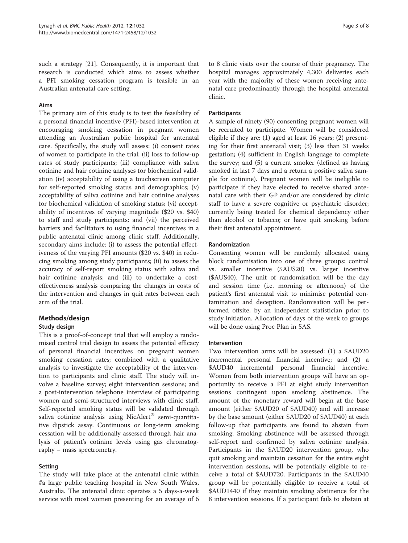such a strategy [\[21](#page-7-0)]. Consequently, it is important that research is conducted which aims to assess whether a PFI smoking cessation program is feasible in an Australian antenatal care setting.

## Aims

The primary aim of this study is to test the feasibility of a personal financial incentive (PFI)-based intervention at encouraging smoking cessation in pregnant women attending an Australian public hospital for antenatal care. Specifically, the study will assess: (i) consent rates of women to participate in the trial; (ii) loss to follow-up rates of study participants; (iii) compliance with saliva cotinine and hair cotinine analyses for biochemical validation (iv) acceptability of using a touchscreen computer for self-reported smoking status and demographics; (v) acceptability of saliva cotinine and hair cotinine analyses for biochemical validation of smoking status; (vi) acceptability of incentives of varying magnitude (\$20 vs. \$40) to staff and study participants; and (vii) the perceived barriers and facilitators to using financial incentives in a public antenatal clinic among clinic staff. Additionally, secondary aims include: (i) to assess the potential effectiveness of the varying PFI amounts (\$20 vs. \$40) in reducing smoking among study participants; (ii) to assess the accuracy of self-report smoking status with saliva and hair cotinine analysis; and (iii) to undertake a costeffectiveness analysis comparing the changes in costs of the intervention and changes in quit rates between each arm of the trial.

## Methods/design

## Study design

This is a proof-of-concept trial that will employ a randomised control trial design to assess the potential efficacy of personal financial incentives on pregnant women smoking cessation rates; combined with a qualitative analysis to investigate the acceptability of the intervention to participants and clinic staff. The study will involve a baseline survey; eight intervention sessions; and a post-intervention telephone interview of participating women and semi-structured interviews with clinic staff. Self-reported smoking status will be validated through saliva cotinine analysis using NicAlert® semi-quantitative dipstick assay. Continuous or long-term smoking cessation will be additionally assessed through hair analysis of patient's cotinine levels using gas chromatography – mass spectrometry.

## Setting

The study will take place at the antenatal clinic within #a large public teaching hospital in New South Wales, Australia. The antenatal clinic operates a 5 days-a-week service with most women presenting for an average of 6

to 8 clinic visits over the course of their pregnancy. The hospital manages approximately 4,300 deliveries each year with the majority of these women receiving antenatal care predominantly through the hospital antenatal clinic.

## **Participants**

A sample of ninety (90) consenting pregnant women will be recruited to participate. Women will be considered eligible if they are: (1) aged at least 16 years; (2) presenting for their first antenatal visit; (3) less than 31 weeks gestation; (4) sufficient in English language to complete the survey; and (5) a current smoker (defined as having smoked in last 7 days and a return a positive saliva sample for cotinine). Pregnant women will be ineligible to participate if they have elected to receive shared antenatal care with their GP and/or are considered by clinic staff to have a severe cognitive or psychiatric disorder; currently being treated for chemical dependency other than alcohol or tobacco; or have quit smoking before their first antenatal appointment.

## Randomization

Consenting women will be randomly allocated using block randomisation into one of three groups: control vs. smaller incentive (\$AUS20) vs. larger incentive (\$AUS40). The unit of randomisation will be the day and session time (i.e. morning or afternoon) of the patient's first antenatal visit to minimise potential contamination and deception. Randomisation will be performed offsite, by an independent statistician prior to study initiation. Allocation of days of the week to groups will be done using Proc Plan in SAS.

#### Intervention

Two intervention arms will be assessed: (1) a \$AUD20 incremental personal financial incentive; and (2) a \$AUD40 incremental personal financial incentive. Women from both intervention groups will have an opportunity to receive a PFI at eight study intervention sessions contingent upon smoking abstinence. The amount of the monetary reward will begin at the base amount (either \$AUD20 of \$AUD40) and will increase by the base amount (either \$AUD20 of \$AUD40) at each follow-up that participants are found to abstain from smoking. Smoking abstinence will be assessed through self-report and confirmed by saliva cotinine analysis. Participants in the \$AUD20 intervention group, who quit smoking and maintain cessation for the entire eight intervention sessions, will be potentially eligible to receive a total of \$AUD720. Participants in the \$AUD40 group will be potentially eligible to receive a total of \$AUD1440 if they maintain smoking abstinence for the 8 intervention sessions. If a participant fails to abstain at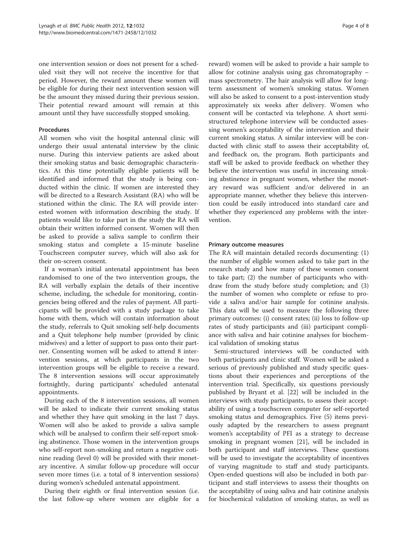one intervention session or does not present for a scheduled visit they will not receive the incentive for that period. However, the reward amount these women will be eligible for during their next intervention session will be the amount they missed during their previous session. Their potential reward amount will remain at this amount until they have successfully stopped smoking.

## Procedures

All women who visit the hospital antennal clinic will undergo their usual antenatal interview by the clinic nurse. During this interview patients are asked about their smoking status and basic demographic characteristics. At this time potentially eligible patients will be identified and informed that the study is being conducted within the clinic. If women are interested they will be directed to a Research Assistant (RA) who will be stationed within the clinic. The RA will provide interested women with information describing the study. If patients would like to take part in the study the RA will obtain their written informed consent. Women will then be asked to provide a saliva sample to confirm their smoking status and complete a 15-minute baseline Touchscreen computer survey, which will also ask for their on-screen consent.

If a woman's initial antenatal appointment has been randomised to one of the two intervention groups, the RA will verbally explain the details of their incentive scheme, including, the schedule for monitoring, contingencies being offered and the rules of payment. All participants will be provided with a study package to take home with them, which will contain information about the study, referrals to Quit smoking self-help documents and a Quit telephone help number (provided by clinic midwives) and a letter of support to pass onto their partner. Consenting women will be asked to attend 8 intervention sessions, at which participants in the two intervention groups will be eligible to receive a reward. The 8 intervention sessions will occur approximately fortnightly, during participants' scheduled antenatal appointments.

During each of the 8 intervention sessions, all women will be asked to indicate their current smoking status and whether they have quit smoking in the last 7 days. Women will also be asked to provide a saliva sample which will be analysed to confirm their self-report smoking abstinence. Those women in the intervention groups who self-report non-smoking and return a negative cotinine reading (level 0) will be provided with their monetary incentive. A similar follow-up procedure will occur seven more times (i.e. a total of 8 intervention sessions) during women's scheduled antenatal appointment.

During their eighth or final intervention session (i.e. the last follow-up where women are eligible for a

reward) women will be asked to provide a hair sample to allow for cotinine analysis using gas chromatography – mass spectrometry. The hair analysis will allow for longterm assessment of women's smoking status. Women will also be asked to consent to a post-intervention study approximately six weeks after delivery. Women who consent will be contacted via telephone. A short semistructured telephone interview will be conducted assessing women's acceptability of the intervention and their current smoking status. A similar interview will be conducted with clinic staff to assess their acceptability of, and feedback on, the program. Both participants and staff will be asked to provide feedback on whether they believe the intervention was useful in increasing smoking abstinence in pregnant women, whether the monetary reward was sufficient and/or delivered in an appropriate manner, whether they believe this intervention could be easily introduced into standard care and whether they experienced any problems with the intervention.

## Primary outcome measures

The RA will maintain detailed records documenting: (1) the number of eligible women asked to take part in the research study and how many of these women consent to take part; (2) the number of participants who withdraw from the study before study completion; and (3) the number of women who complete or refuse to provide a saliva and/or hair sample for cotinine analysis. This data will be used to measure the following three primary outcomes: (i) consent rates; (ii) loss to follow-up rates of study participants and (iii) participant compliance with saliva and hair cotinine analyses for biochemical validation of smoking status

Semi-structured interviews will be conducted with both participants and clinic staff. Women will be asked a serious of previously published and study specific questions about their experiences and perceptions of the intervention trial. Specifically, six questions previously published by Bryant et al. [\[22\]](#page-7-0) will be included in the interviews with study participants, to assess their acceptability of using a touchscreen computer for self-reported smoking status and demographics. Five (5) items previously adapted by the researchers to assess pregnant women's acceptability of PFI as a strategy to decrease smoking in pregnant women [[21](#page-7-0)], will be included in both participant and staff interviews. These questions will be used to investigate the acceptability of incentives of varying magnitude to staff and study participants. Open-ended questions will also be included in both participant and staff interviews to assess their thoughts on the acceptability of using saliva and hair cotinine analysis for biochemical validation of smoking status, as well as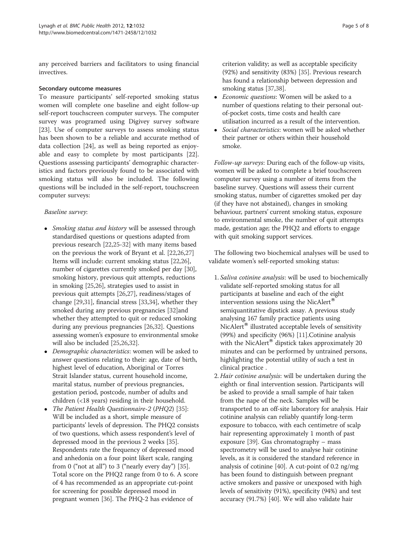any perceived barriers and facilitators to using financial invectives.

## Secondary outcome measures

To measure participants' self-reported smoking status women will complete one baseline and eight follow-up self-report touchscreen computer surveys. The computer survey was programed using Digivey survey software [[23\]](#page-7-0). Use of computer surveys to assess smoking status has been shown to be a reliable and accurate method of data collection [[24](#page-7-0)], as well as being reported as enjoyable and easy to complete by most participants [\[22](#page-7-0)]. Questions assessing participants' demographic characteristics and factors previously found to be associated with smoking status will also be included. The following questions will be included in the self-report, touchscreen computer surveys:

## Baseline survey:

- Smoking status and history will be assessed through standardised questions or questions adapted from previous research [\[22,25-32\]](#page-7-0) with many items based on the previous the work of Bryant et al. [\[22,26,27](#page-7-0)] Items will include: current smoking status [\[22,26\]](#page-7-0), number of cigarettes currently smoked per day [\[30\]](#page-7-0), smoking history, previous quit attempts, reductions in smoking [\[25,26\]](#page-7-0), strategies used to assist in previous quit attempts [[26,27](#page-7-0)], readiness/stages of change [[29,31](#page-7-0)], financial stress [[33,34](#page-7-0)], whether they smoked during any previous pregnancies [\[32\]](#page-7-0)and whether they attempted to quit or reduced smoking during any previous pregnancies [[26,32\]](#page-7-0). Questions assessing women's exposure to environmental smoke will also be included [[25,26,32](#page-7-0)].
- Demographic characteristics: women will be asked to answer questions relating to their: age, date of birth, highest level of education, Aboriginal or Torres Strait Islander status, current household income, marital status, number of previous pregnancies, gestation period, postcode, number of adults and children (<18 years) residing in their household.
- The Patient Health Questionnaire-2 (PHQ2) [\[35](#page-7-0)]: Will be included as a short, simple measure of participants' levels of depression. The PHQ2 consists of two questions, which assess respondent's level of depressed mood in the previous 2 weeks [\[35\]](#page-7-0). Respondents rate the frequency of depressed mood and anhedonia on a four point likert scale, ranging from 0 ("not at all") to 3 ("nearly every day")  $[35]$  $[35]$ . Total score on the PHQ2 range from 0 to 6. A score of 4 has recommended as an appropriate cut-point for screening for possible depressed mood in pregnant women [\[36\]](#page-7-0). The PHQ-2 has evidence of

criterion validity; as well as acceptable specificity (92%) and sensitivity (83%) [\[35\]](#page-7-0). Previous research has found a relationship between depression and smoking status [[37](#page-7-0),[38](#page-7-0)].

- Economic questions: Women will be asked to a number of questions relating to their personal outof-pocket costs, time costs and health care utilisation incurred as a result of the intervention.
- Social characteristics: women will be asked whether their partner or others within their household smoke.

Follow-up surveys: During each of the follow-up visits, women will be asked to complete a brief touchscreen computer survey using a number of items from the baseline survey. Questions will assess their current smoking status, number of cigarettes smoked per day (if they have not abstained), changes in smoking behaviour, partners' current smoking status, exposure to environmental smoke, the number of quit attempts made, gestation age; the PHQ2 and efforts to engage with quit smoking support services.

The following two biochemical analyses will be used to validate women's self-reported smoking status:

- 1. Saliva cotinine analysis: will be used to biochemically validate self-reported smoking status for all participants at baseline and each of the eight intervention sessions using the NicAlert<sup>®</sup> semiquantitative dipstick assay. A previous study analysing 167 family practice patients using NicAlert<sup>®</sup> illustrated acceptable levels of sensitivity (99%) and specificity (96%) [\[11\]](#page-7-0).Cotinine analysis with the NicAlert<sup>®</sup> dipstick takes approximately 20 minutes and can be performed by untrained persons, highlighting the potential utility of such a test in clinical practice .
- 2. Hair cotinine analysis: will be undertaken during the eighth or final intervention session. Participants will be asked to provide a small sample of hair taken from the nape of the neck. Samples will be transported to an off-site laboratory for analysis. Hair cotinine analysis can reliably quantify long-term exposure to tobacco, with each centimetre of scalp hair representing approximately 1 month of past exposure [[39](#page-7-0)]. Gas chromatography – mass spectrometry will be used to analyse hair cotinine levels, as it is considered the standard reference in analysis of cotinine [\[40](#page-7-0)]. A cut-point of 0.2 ng/mg has been found to distinguish between pregnant active smokers and passive or unexposed with high levels of sensitivity (91%), specificity (94%) and test accuracy (91.7%) [\[40\]](#page-7-0). We will also validate hair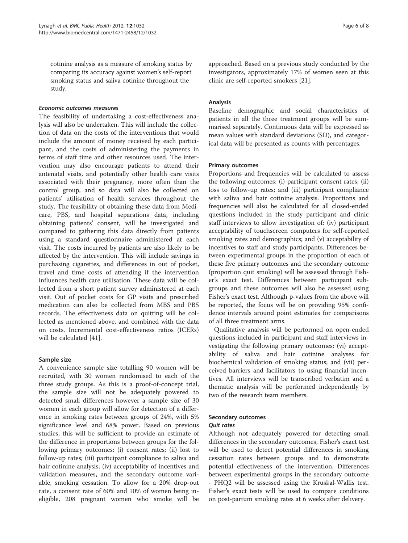cotinine analysis as a measure of smoking status by comparing its accuracy against women's self-report smoking status and saliva cotinine throughout the study.

#### Economic outcomes measures

The feasibility of undertaking a cost-effectiveness analysis will also be undertaken. This will include the collection of data on the costs of the interventions that would include the amount of money received by each participant, and the costs of administering the payments in terms of staff time and other resources used. The intervention may also encourage patients to attend their antenatal visits, and potentially other health care visits associated with their pregnancy, more often than the control group, and so data will also be collected on patients' utilisation of health services throughout the study. The feasibility of obtaining these data from Medicare, PBS, and hospital separations data, including obtaining patients' consent, will be investigated and compared to gathering this data directly from patients using a standard questionnaire administered at each visit. The costs incurred by patients are also likely to be affected by the intervention. This will include savings in purchasing cigarettes, and differences in out of pocket, travel and time costs of attending if the intervention influences health care utilisation. These data will be collected from a short patient survey administered at each visit. Out of pocket costs for GP visits and prescribed medication can also be collected from MBS and PBS records. The effectiveness data on quitting will be collected as mentioned above, and combined with the data on costs. Incremental cost-effectiveness ratios (ICERs) will be calculated [[41](#page-7-0)].

#### Sample size

A convenience sample size totalling 90 women will be recruited, with 30 women randomised to each of the three study groups. As this is a proof-of-concept trial, the sample size will not be adequately powered to detected small differences however a sample size of 30 women in each group will allow for detection of a difference in smoking rates between groups of 24%, with 5% significance level and 68% power. Based on previous studies, this will be sufficient to provide an estimate of the difference in proportions between groups for the following primary outcomes: (i) consent rates; (ii) lost to follow-up rates; (iii) participant compliance to saliva and hair cotinine analysis; (iv) acceptability of incentives and validation measures, and the secondary outcome variable, smoking cessation. To allow for a 20% drop-out rate, a consent rate of 60% and 10% of women being ineligible, 208 pregnant women who smoke will be approached. Based on a previous study conducted by the investigators, approximately 17% of women seen at this clinic are self-reported smokers [[21\]](#page-7-0).

## Analysis

Baseline demographic and social characteristics of patients in all the three treatment groups will be summarised separately. Continuous data will be expressed as mean values with standard deviations (SD), and categorical data will be presented as counts with percentages.

#### Primary outcomes

Proportions and frequencies will be calculated to assess the following outcomes: (i) participant consent rates; (ii) loss to follow-up rates; and (iii) participant compliance with saliva and hair cotinine analysis. Proportions and frequencies will also be calculated for all closed-ended questions included in the study participant and clinic staff interviews to allow investigation of: (iv) participant acceptability of touchscreen computers for self-reported smoking rates and demographics; and (v) acceptability of incentives to staff and study participants. Differences between experimental groups in the proportion of each of these five primary outcomes and the secondary outcome (proportion quit smoking) will be assessed through Fisher's exact test. Differences between participant subgroups and these outcomes will also be assessed using Fisher's exact test. Although p-values from the above will be reported, the focus will be on providing 95% confidence intervals around point estimates for comparisons of all three treatment arms.

Qualitative analysis will be performed on open-ended questions included in participant and staff interviews investigating the following primary outcomes: (vi) acceptability of saliva and hair cotinine analyses for biochemical validation of smoking status; and (vii) perceived barriers and facilitators to using financial incentives. All interviews will be transcribed verbatim and a thematic analysis will be performed independently by two of the research team members.

#### Secondary outcomes Quit rates

Although not adequately powered for detecting small differences in the secondary outcomes, Fisher's exact test will be used to detect potential differences in smoking cessation rates between groups and to demonstrate potential effectiveness of the intervention. Differences between experimental groups in the secondary outcome - PHQ2 will be assessed using the Kruskal-Wallis test. Fisher's exact tests will be used to compare conditions on post-partum smoking rates at 6 weeks after delivery.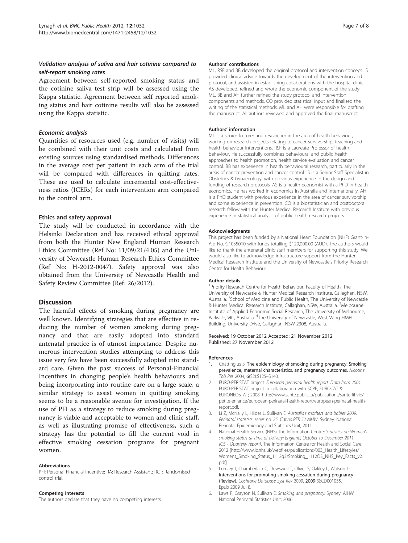## <span id="page-6-0"></span>Validation analysis of saliva and hair cotinine compared to self-report smoking rates

Agreement between self-reported smoking status and the cotinine saliva test strip will be assessed using the Kappa statistic. Agreement between self reported smoking status and hair cotinine results will also be assessed using the Kappa statistic.

## Economic analysis

Quantities of resources used (e.g. number of visits) will be combined with their unit costs and calculated from existing sources using standardised methods. Differences in the average cost per patient in each arm of the trial will be compared with differences in quitting rates. These are used to calculate incremental cost-effectiveness ratios (ICERs) for each intervention arm compared to the control arm.

## Ethics and safety approval

The study will be conducted in accordance with the Helsinki Declaration and has received ethical approval from both the Hunter New England Human Research Ethics Committee (Ref No: 11/09/21/4.05) and the University of Newcastle Human Research Ethics Committee (Ref No: H-2012-0047). Safety approval was also obtained from the University of Newcastle Health and Safety Review Committee (Ref: 26/2012).

## **Discussion**

The harmful effects of smoking during pregnancy are well known. Identifying strategies that are effective in reducing the number of women smoking during pregnancy and that are easily adopted into standard antenatal practice is of utmost importance. Despite numerous intervention studies attempting to address this issue very few have been successfully adopted into standard care. Given the past success of Personal-Financial Incentives in changing people's health behaviours and being incorporating into routine care on a large scale, a similar strategy to assist women in quitting smoking seems to be a reasonable avenue for investigation. If the use of PFI as a strategy to reduce smoking during pregnancy is viable and acceptable to women and clinic staff, as well as illustrating promise of effectiveness, such a strategy has the potential to fill the current void in effective smoking cessation programs for pregnant women.

#### Abbreviations

PFI: Personal Financial Incentive; RA: Research Assistant; RCT: Randomised control trial.

#### Competing interests

The authors declare that they have no competing interests.

#### Authors' contributions

ML, RSF and BB developed the original protocol and intervention concept. IS provided clinical advice towards the development of the intervention and protocol, and assisted in establishing collaborations with the hospital clinic. AS developed, refined and wrote the economic component of the study. ML, BB and AH further refined the study protocol and intervention components and methods. CO provided statistical input and finalised the writing of the statistical methods. ML and AH were responsible for drafting the manuscript. All authors reviewed and approved the final manuscript.

#### Authors' information

ML is a senior lecturer and researcher in the area of health behaviour, working on research projects relating to cancer survivorship, teaching and health behaviour interventions. RSF is a Laureate Professor of health behaviour. He successfully combines behavioural and public health approaches to health promotion, health service evaluation and cancer control. BB has experience in health behavioural research, particularly in the areas of cancer prevention and cancer control. IS is a Senior Staff Specialist in Obstetrics & Gynaecology; with previous experience in the design and funding of research protocols. AS is a health economist with a PhD in health economics. He has worked in economics in Australia and internationally. AH is a PhD student with previous experience in the area of cancer survivorship and some experience in prevention. CO is a biostatistician and postdoctoral research fellow with the Hunter Medical Research Institute with previous experience in statistical analysis of public health research projects.

#### Acknowledgments

This project has been funded by a National Heart Foundation (NHF) Grant-in-Aid No. G10S5010 with funds totalling \$129,000.00 (AUD). The authors would like to thank the antenatal clinic staff members for supporting this study. We would also like to acknowledge infrastructure support from the Hunter Medical Research Institute and the University of Newcastle's Priority Research Centre for Health Behaviour.

#### Author details

<sup>1</sup> Priority Research Centre for Health Behaviour, Faculty of Health, The University of Newcastle & Hunter Medical Research Institute, Callaghan, NSW, Australia. <sup>2</sup>School of Medicine and Public Health, The University of Newcastle & Hunter Medical Research Institute, Callaghan, NSW, Australia. <sup>3</sup>Melbourne Institute of Applied Economic Social Research, The University of Melbourne, Parkville, VIC, Australia. <sup>4</sup>The University of Newcastle, West Wing HMRI Building, University Drive, Callaghan, NSW 2308, Australia.

#### Received: 19 October 2012 Accepted: 21 November 2012 Published: 27 November 2012

#### References

- 1. Cnattingius S: The epidemiology of smoking during pregnancy: Smoking prevalence, maternal characteristics, and pregnancy outcomes. Nicotine Tob Res 2004, 6(S2):S125–S140.
- 2. EURO-PERISTAT project: European perinatal health report: Data from 2004. EURO-PERISTAT project in collaboration with SCPE, EUROCAT & EURONEOSTAT; 2008. [http://www.sante.public.lu/publications/sante-fil-vie/](http://www.sante.public.lu/publications/sante-fil-vie/petite-enfance/european-perinatal-health-report/european-perinatal-health-report) [petite-enfance/european-perinatal-health-report/european-perinatal-health](http://www.sante.public.lu/publications/sante-fil-vie/petite-enfance/european-perinatal-health-report/european-perinatal-health-report)[report](http://www.sante.public.lu/publications/sante-fil-vie/petite-enfance/european-perinatal-health-report/european-perinatal-health-report).pdf.
- 3. Li Z, McNally L, Hilder L, Sullivan E: Australia's mothers and babies 2009. Perinatal statistics. series no. 25. Cat.no.PER 52 AIHW. Sydney: National Perinatal Epidemiology and Statistics Unit; 2011.
- 4. National Health Service (NHS) The Information Centre: Statistics on Women's smoking status at time of delivery: England, October to December 2011 (Q3 - Quarterly report). The Information Centre for Health and Social Care; 2012 [\[http://www.ic.nhs.uk/webfiles/publications/003\\_Health\\_Lifestyles/](http://www.ic.nhs.uk/webfiles/publications/003_Health_Lifestyles/Womens_Smoking_Status_1112q3/Smoking_1112Q3_NHS_Key_Facts_v2.pdf) [Womens\\_Smoking\\_Status\\_1112q3/Smoking\\_1112Q3\\_NHS\\_Key\\_Facts\\_v2.](http://www.ic.nhs.uk/webfiles/publications/003_Health_Lifestyles/Womens_Smoking_Status_1112q3/Smoking_1112Q3_NHS_Key_Facts_v2.pdf) [pdf](http://www.ic.nhs.uk/webfiles/publications/003_Health_Lifestyles/Womens_Smoking_Status_1112q3/Smoking_1112Q3_NHS_Key_Facts_v2.pdf)]
- 5. Lumley J, Chamberlain C, Dowswell T, Oliver S, Oakley L, Watson L: Interventions for promoting smoking cessation during pregnancy (Review). Cochrane Database Syst Rev 2009, 2009(3):CD001055. Epub 2009 Jul 8.
- 6. Laws P, Grayson N, Sullivan E: Smoking and pregnancy. Sydney: AIHW National Perinatal Statistics Unit; 2006.